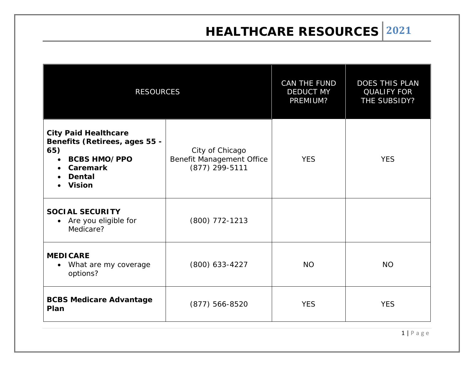**HEALTHCARE RESOURCES 2021**

| <b>RESOURCES</b>                                                                                                                                |                                                                | CAN THE FUND<br><b>DEDUCT MY</b><br>PREMIUM? | DOES THIS PLAN<br><b>QUALIFY FOR</b><br>THE SUBSIDY? |
|-------------------------------------------------------------------------------------------------------------------------------------------------|----------------------------------------------------------------|----------------------------------------------|------------------------------------------------------|
| <b>City Paid Healthcare</b><br>Benefits (Retirees, ages 55 -<br>65)<br><b>BCBS HMO/PPO</b><br><b>Caremark</b><br><b>Dental</b><br><b>Vision</b> | City of Chicago<br>Benefit Management Office<br>(877) 299-5111 | <b>YES</b>                                   | <b>YES</b>                                           |
| <b>SOCIAL SECURITY</b><br>Are you eligible for<br>$\bullet$<br>Medicare?                                                                        | $(800)$ 772-1213                                               |                                              |                                                      |
| <b>MEDICARE</b><br>What are my coverage<br>options?                                                                                             | $(800)$ 633-4227                                               | <b>NO</b>                                    | <b>NO</b>                                            |
| <b>BCBS Medicare Advantage</b><br>Plan                                                                                                          | $(877) 566 - 8520$                                             | <b>YES</b>                                   | <b>YES</b>                                           |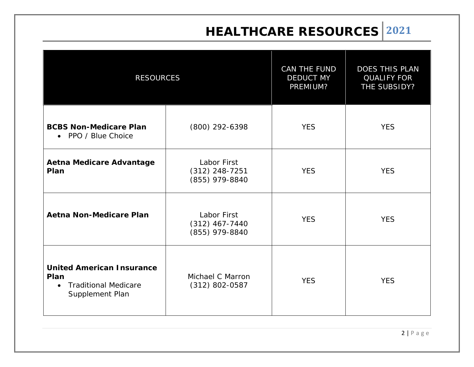## **HEALTHCARE RESOURCES 2021**

| <b>RESOURCES</b>                                                                                        |                                                   | CAN THE FUND<br><b>DEDUCT MY</b><br>PREMIUM? | DOES THIS PLAN<br><b>QUALIFY FOR</b><br>THE SUBSIDY? |
|---------------------------------------------------------------------------------------------------------|---------------------------------------------------|----------------------------------------------|------------------------------------------------------|
| <b>BCBS Non-Medicare Plan</b><br>• PPO / Blue Choice                                                    | (800) 292-6398                                    | <b>YES</b>                                   | <b>YES</b>                                           |
| <b>Aetna Medicare Advantage</b><br>Plan                                                                 | Labor First<br>$(312)$ 248-7251<br>(855) 979-8840 | <b>YES</b>                                   | <b>YES</b>                                           |
| <b>Aetna Non-Medicare Plan</b>                                                                          | Labor First<br>$(312)$ 467-7440<br>(855) 979-8840 | <b>YES</b>                                   | <b>YES</b>                                           |
| <b>United American Insurance</b><br>Plan<br><b>Traditional Medicare</b><br>$\bullet$<br>Supplement Plan | Michael C Marron<br>$(312) 802 - 0587$            | <b>YES</b>                                   | <b>YES</b>                                           |